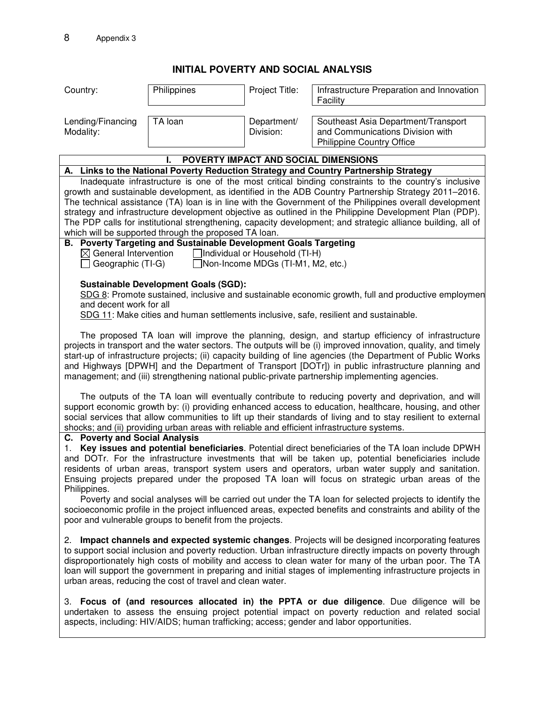## **INITIAL POVERTY AND SOCIAL ANALYSIS**

| Country:                                              | Philippines                                                                                | Project Title:                                                              | Infrastructure Preparation and Innovation<br>Facility                                                                                                                                                                                                                                                                                                                                                                                                                                                                                                                                                                                        |
|-------------------------------------------------------|--------------------------------------------------------------------------------------------|-----------------------------------------------------------------------------|----------------------------------------------------------------------------------------------------------------------------------------------------------------------------------------------------------------------------------------------------------------------------------------------------------------------------------------------------------------------------------------------------------------------------------------------------------------------------------------------------------------------------------------------------------------------------------------------------------------------------------------------|
|                                                       |                                                                                            |                                                                             |                                                                                                                                                                                                                                                                                                                                                                                                                                                                                                                                                                                                                                              |
| Lending/Financing<br>Modality:                        | TA loan                                                                                    | Department/<br>Division:                                                    | Southeast Asia Department/Transport<br>and Communications Division with<br><b>Philippine Country Office</b>                                                                                                                                                                                                                                                                                                                                                                                                                                                                                                                                  |
|                                                       |                                                                                            |                                                                             | POVERTY IMPACT AND SOCIAL DIMENSIONS                                                                                                                                                                                                                                                                                                                                                                                                                                                                                                                                                                                                         |
|                                                       |                                                                                            |                                                                             | A. Links to the National Poverty Reduction Strategy and Country Partnership Strategy                                                                                                                                                                                                                                                                                                                                                                                                                                                                                                                                                         |
|                                                       | which will be supported through the proposed TA loan.                                      |                                                                             | Inadequate infrastructure is one of the most critical binding constraints to the country's inclusive<br>growth and sustainable development, as identified in the ADB Country Partnership Strategy 2011–2016.<br>The technical assistance (TA) loan is in line with the Government of the Philippines overall development<br>strategy and infrastructure development objective as outlined in the Philippine Development Plan (PDP).<br>The PDP calls for institutional strengthening, capacity development; and strategic alliance building, all of                                                                                          |
| $\boxtimes$ General Intervention<br>Geographic (TI-G) | <b>B. Poverty Targeting and Sustainable Development Goals Targeting</b>                    | $\Box$ Individual or Household (TI-H)<br>□Non-Income MDGs (TI-M1, M2, etc.) |                                                                                                                                                                                                                                                                                                                                                                                                                                                                                                                                                                                                                                              |
| and decent work for all                               | <b>Sustainable Development Goals (SGD):</b>                                                |                                                                             | SDG 8: Promote sustained, inclusive and sustainable economic growth, full and productive employmen<br>SDG 11: Make cities and human settlements inclusive, safe, resilient and sustainable.                                                                                                                                                                                                                                                                                                                                                                                                                                                  |
|                                                       |                                                                                            |                                                                             | The proposed TA loan will improve the planning, design, and startup efficiency of infrastructure<br>projects in transport and the water sectors. The outputs will be (i) improved innovation, quality, and timely<br>start-up of infrastructure projects; (ii) capacity building of line agencies (the Department of Public Works<br>and Highways [DPWH] and the Department of Transport [DOTr]) in public infrastructure planning and<br>management; and (iii) strengthening national public-private partnership implementing agencies.                                                                                                     |
|                                                       | shocks; and (ii) providing urban areas with reliable and efficient infrastructure systems. |                                                                             | The outputs of the TA loan will eventually contribute to reducing poverty and deprivation, and will<br>support economic growth by: (i) providing enhanced access to education, healthcare, housing, and other<br>social services that allow communities to lift up their standards of living and to stay resilient to external                                                                                                                                                                                                                                                                                                               |
| C. Poverty and Social Analysis<br>1.<br>Philippines.  |                                                                                            |                                                                             | Key issues and potential beneficiaries. Potential direct beneficiaries of the TA loan include DPWH<br>and DOTr. For the infrastructure investments that will be taken up, potential beneficiaries include<br>residents of urban areas, transport system users and operators, urban water supply and sanitation.<br>Ensuing projects prepared under the proposed TA loan will focus on strategic urban areas of the<br>Poverty and social analyses will be carried out under the TA loan for selected projects to identify the<br>socioeconomic profile in the project influenced areas, expected benefits and constraints and ability of the |
|                                                       | poor and vulnerable groups to benefit from the projects.                                   |                                                                             |                                                                                                                                                                                                                                                                                                                                                                                                                                                                                                                                                                                                                                              |
|                                                       | urban areas, reducing the cost of travel and clean water.                                  |                                                                             | 2. Impact channels and expected systemic changes. Projects will be designed incorporating features<br>to support social inclusion and poverty reduction. Urban infrastructure directly impacts on poverty through<br>disproportionately high costs of mobility and access to clean water for many of the urban poor. The TA<br>loan will support the government in preparing and initial stages of implementing infrastructure projects in                                                                                                                                                                                                   |
|                                                       |                                                                                            |                                                                             | 3. Focus of (and resources allocated in) the PPTA or due diligence. Due diligence will be<br>undertaken to assess the ensuing project potential impact on poverty reduction and related social<br>aspects, including: HIV/AIDS; human trafficking; access; gender and labor opportunities.                                                                                                                                                                                                                                                                                                                                                   |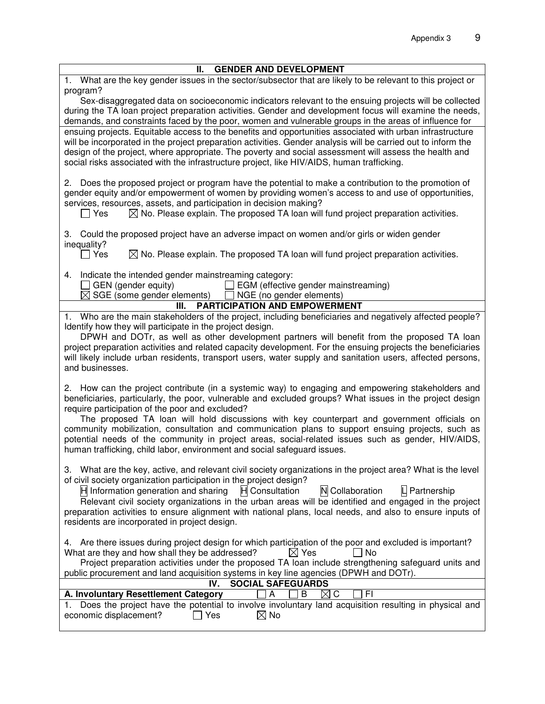| <b>GENDER AND DEVELOPMENT</b><br>Ш.                                                                                                                                                                              |
|------------------------------------------------------------------------------------------------------------------------------------------------------------------------------------------------------------------|
| 1. What are the key gender issues in the sector/subsector that are likely to be relevant to this project or                                                                                                      |
| program?                                                                                                                                                                                                         |
| Sex-disaggregated data on socioeconomic indicators relevant to the ensuing projects will be collected                                                                                                            |
| during the TA loan project preparation activities. Gender and development focus will examine the needs,<br>demands, and constraints faced by the poor, women and vulnerable groups in the areas of influence for |
| ensuing projects. Equitable access to the benefits and opportunities associated with urban infrastructure                                                                                                        |
| will be incorporated in the project preparation activities. Gender analysis will be carried out to inform the                                                                                                    |
| design of the project, where appropriate. The poverty and social assessment will assess the health and                                                                                                           |
| social risks associated with the infrastructure project, like HIV/AIDS, human trafficking.                                                                                                                       |
|                                                                                                                                                                                                                  |
| 2. Does the proposed project or program have the potential to make a contribution to the promotion of                                                                                                            |
| gender equity and/or empowerment of women by providing women's access to and use of opportunities,                                                                                                               |
| services, resources, assets, and participation in decision making?<br>$\boxtimes$ No. Please explain. The proposed TA loan will fund project preparation activities.                                             |
| _l Yes                                                                                                                                                                                                           |
| 3. Could the proposed project have an adverse impact on women and/or girls or widen gender<br>inequality?                                                                                                        |
| $\boxtimes$ No. Please explain. The proposed TA loan will fund project preparation activities.<br>$\Box$ Yes                                                                                                     |
| 4. Indicate the intended gender mainstreaming category:                                                                                                                                                          |
| GEN (gender equity)<br>$\Box$ EGM (effective gender mainstreaming)                                                                                                                                               |
| $\boxtimes$ SGE (some gender elements) $\Box$ NGE (no gender elements)                                                                                                                                           |
| <b>PARTICIPATION AND EMPOWERMENT</b><br>III.<br>1. Who are the main stakeholders of the project, including beneficiaries and negatively affected people?                                                         |
| Identify how they will participate in the project design.                                                                                                                                                        |
| DPWH and DOTr, as well as other development partners will benefit from the proposed TA loan                                                                                                                      |
| project preparation activities and related capacity development. For the ensuing projects the beneficiaries                                                                                                      |
| will likely include urban residents, transport users, water supply and sanitation users, affected persons,                                                                                                       |
| and businesses.                                                                                                                                                                                                  |
|                                                                                                                                                                                                                  |
| 2. How can the project contribute (in a systemic way) to engaging and empowering stakeholders and<br>beneficiaries, particularly, the poor, vulnerable and excluded groups? What issues in the project design    |
| require participation of the poor and excluded?                                                                                                                                                                  |
| The proposed TA loan will hold discussions with key counterpart and government officials on                                                                                                                      |
| community mobilization, consultation and communication plans to support ensuing projects, such as                                                                                                                |
| potential needs of the community in project areas, social-related issues such as gender, HIV/AIDS,                                                                                                               |
| human trafficking, child labor, environment and social safeguard issues.                                                                                                                                         |
|                                                                                                                                                                                                                  |
| 3. What are the key, active, and relevant civil society organizations in the project area? What is the level<br>of civil society organization participation in the project design?                               |
| H Consultation<br>N Collaboration<br>H Information generation and sharing<br>$L$ Partnership                                                                                                                     |
| Relevant civil society organizations in the urban areas will be identified and engaged in the project                                                                                                            |
| preparation activities to ensure alignment with national plans, local needs, and also to ensure inputs of                                                                                                        |
| residents are incorporated in project design.                                                                                                                                                                    |
|                                                                                                                                                                                                                  |
| 4. Are there issues during project design for which participation of the poor and excluded is important?                                                                                                         |
| What are they and how shall they be addressed?<br>$\boxtimes$ Yes<br>No                                                                                                                                          |
| Project preparation activities under the proposed TA loan include strengthening safeguard units and<br>public procurement and land acquisition systems in key line agencies (DPWH and DOTr).                     |
| IV.<br><b>SOCIAL SAFEGUARDS</b>                                                                                                                                                                                  |
| A. Involuntary Resettlement Category<br>FI<br>A<br>B<br>⊠<br>C                                                                                                                                                   |
| Does the project have the potential to involve involuntary land acquisition resulting in physical and                                                                                                            |
| economic displacement?<br>Yes<br>$\boxtimes$ No                                                                                                                                                                  |
|                                                                                                                                                                                                                  |